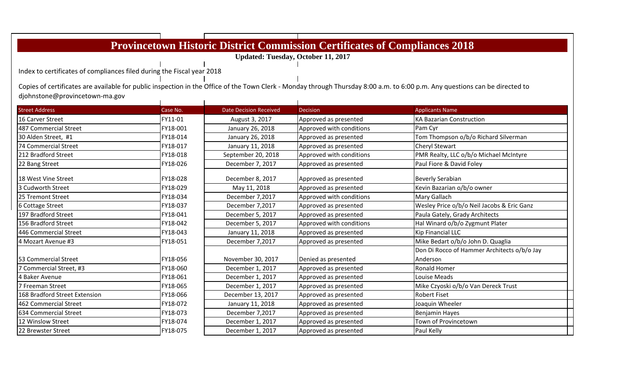|                                                                        |          |                               | <b>Provincetown Historic District Commission Certificates of Compliances 2018</b> |                                                                                                                                                                              |
|------------------------------------------------------------------------|----------|-------------------------------|-----------------------------------------------------------------------------------|------------------------------------------------------------------------------------------------------------------------------------------------------------------------------|
|                                                                        |          |                               | <b>Updated: Tuesday, October 11, 2017</b>                                         |                                                                                                                                                                              |
|                                                                        |          |                               |                                                                                   |                                                                                                                                                                              |
| Index to certificates of compliances filed during the Fiscal year 2018 |          |                               |                                                                                   |                                                                                                                                                                              |
|                                                                        |          |                               |                                                                                   | Copies of certificates are available for public inspection in the Office of the Town Clerk - Monday through Thursday 8:00 a.m. to 6:00 p.m. Any questions can be directed to |
| djohnstone@provincetown-ma.gov                                         |          |                               |                                                                                   |                                                                                                                                                                              |
|                                                                        |          |                               |                                                                                   |                                                                                                                                                                              |
| <b>Street Address</b>                                                  | Case No. | <b>Date Decision Received</b> | <b>Decision</b>                                                                   | <b>Applicants Name</b>                                                                                                                                                       |
| 16 Carver Street                                                       | FY11-01  | August 3, 2017                | Approved as presented                                                             | <b>KA Bazarian Construction</b>                                                                                                                                              |
| 487 Commercial Street                                                  | FY18-001 | January 26, 2018              | Approved with conditions                                                          | Pam Cyr                                                                                                                                                                      |
| 30 Alden Street, #1                                                    | FY18-014 | January 26, 2018              | Approved as presented                                                             | Tom Thompson o/b/o Richard Silverman                                                                                                                                         |
| 74 Commercial Street                                                   | FY18-017 | January 11, 2018              | Approved as presented                                                             | Cheryl Stewart                                                                                                                                                               |
| 212 Bradford Street                                                    | FY18-018 | September 20, 2018            | Approved with conditions                                                          | PMR Realty, LLC o/b/o Michael McIntyre                                                                                                                                       |
| 22 Bang Street                                                         | FY18-026 | December 7, 2017              | Approved as presented                                                             | Paul Fiore & David Foley                                                                                                                                                     |
| 18 West Vine Street                                                    | FY18-028 | December 8, 2017              | Approved as presented                                                             | <b>Beverly Serabian</b>                                                                                                                                                      |
| 3 Cudworth Street                                                      | FY18-029 | May 11, 2018                  | Approved as presented                                                             | Kevin Bazarian o/b/o owner                                                                                                                                                   |
| 25 Tremont Street                                                      | FY18-034 | December 7,2017               | Approved with conditions                                                          | Mary Gallach                                                                                                                                                                 |
| 6 Cottage Street                                                       | FY18-037 | December 7,2017               | Approved as presented                                                             | Wesley Price o/b/o Neil Jacobs & Eric Ganz                                                                                                                                   |
| 197 Bradford Street                                                    | FY18-041 | December 5, 2017              | Approved as presented                                                             | Paula Gately, Grady Architects                                                                                                                                               |
| 156 Bradford Street                                                    | FY18-042 | December 5, 2017              | Approved with conditions                                                          | Hal Winard o/b/o Zygmunt Plater                                                                                                                                              |
| 446 Commercial Street                                                  | FY18-043 | January 11, 2018              | Approved as presented                                                             | Kip Financial LLC                                                                                                                                                            |
| 4 Mozart Avenue #3                                                     | FY18-051 | December 7,2017               | Approved as presented                                                             | Mike Bedart o/b/o John D. Quaglia                                                                                                                                            |
|                                                                        |          |                               |                                                                                   | Don Di Rocco of Hammer Architects o/b/o Jay                                                                                                                                  |
| 53 Commercial Street                                                   | FY18-056 | November 30, 2017             | Denied as presented                                                               | Anderson                                                                                                                                                                     |
| 7 Commercial Street, #3                                                | FY18-060 | December 1, 2017              | Approved as presented                                                             | <b>Ronald Homer</b>                                                                                                                                                          |
| 4 Baker Avenue                                                         | FY18-061 | December 1, 2017              | Approved as presented                                                             | Louise Meads                                                                                                                                                                 |
| 7 Freeman Street                                                       | FY18-065 | December 1, 2017              | Approved as presented                                                             | Mike Czyoski o/b/o Van Dereck Trust                                                                                                                                          |
| 168 Bradford Street Extension                                          | FY18-066 | December 13, 2017             | Approved as presented                                                             | <b>Robert Fiset</b>                                                                                                                                                          |
| 462 Commercial Street                                                  | FY18-072 | January 11, 2018              | Approved as presented                                                             | Joaquin Wheeler                                                                                                                                                              |
| 634 Commercial Street                                                  | FY18-073 | December 7,2017               | Approved as presented                                                             | <b>Benjamin Hayes</b>                                                                                                                                                        |
| 12 Winslow Street                                                      | FY18-074 | December 1, 2017              | Approved as presented                                                             | Town of Provincetown                                                                                                                                                         |
| 22 Brewster Street                                                     | FY18-075 | December 1, 2017              | Approved as presented                                                             | Paul Kelly                                                                                                                                                                   |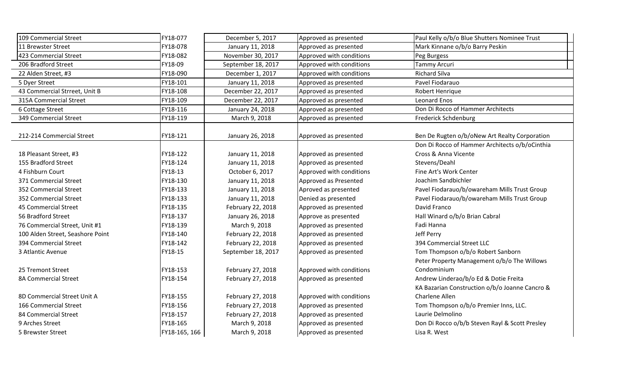| 109 Commercial Street            | FY18-077      | December 5, 2017   | Approved as presented    | Paul Kelly o/b/o Blue Shutters Nominee Trust   |
|----------------------------------|---------------|--------------------|--------------------------|------------------------------------------------|
| 11 Brewster Street               | FY18-078      | January 11, 2018   | Approved as presented    | Mark Kinnane o/b/o Barry Peskin                |
| 423 Commercial Street            | FY18-082      | November 30, 2017  | Approved with conditions | Peg Burgess                                    |
| 206 Bradford Street              | FY18-09       | September 18, 2017 | Approved with conditions | <b>Tammy Arcuri</b>                            |
| 22 Alden Street, #3              | FY18-090      | December 1, 2017   | Approved with conditions | <b>Richard Silva</b>                           |
| 5 Dyer Street                    | FY18-101      | January 11, 2018   | Approved as presented    | Pavel Fiodarauo                                |
| 43 Commercial Strreet, Unit B    | FY18-108      | December 22, 2017  | Approved as presented    | Robert Henrique                                |
| 315A Commercial Street           | FY18-109      | December 22, 2017  | Approved as presented    | <b>Leonard Enos</b>                            |
| 6 Cottage Street                 | FY18-116      | January 24, 2018   | Approved as presented    | Don Di Rocco of Hammer Architects              |
| 349 Commercial Street            | FY18-119      | March 9, 2018      | Approved as presented    | <b>Frederick Schdenburg</b>                    |
|                                  |               |                    |                          |                                                |
| 212-214 Commercial Street        | FY18-121      | January 26, 2018   | Approved as presented    | Ben De Rugten o/b/oNew Art Realty Corporation  |
|                                  |               |                    |                          | Don Di Rocco of Hammer Architects o/b/oCinthia |
| 18 Pleasant Street, #3           | FY18-122      | January 11, 2018   | Approved as presented    | Cross & Anna Vicente                           |
| 155 Bradford Street              | FY18-124      | January 11, 2018   | Approved as presented    | Stevens/Deahl                                  |
| 4 Fishburn Court                 | FY18-13       | October 6, 2017    | Approved with conditions | Fine Art's Work Center                         |
| 371 Commercial Street            | FY18-130      | January 11, 2018   | Approved as Presented    | Joachim Sandbichler                            |
| 352 Commercial Street            | FY18-133      | January 11, 2018   | Aproved as presented     | Pavel Fiodarauo/b/owareham Mills Trust Group   |
| 352 Commercial Street            | FY18-133      | January 11, 2018   | Denied as presented      | Pavel Fiodarauo/b/owareham Mills Trust Group   |
| 45 Commercial Street             | FY18-135      | February 22, 2018  | Approved as presented    | David Franco                                   |
| 56 Bradford Street               | FY18-137      | January 26, 2018   | Approve as presented     | Hall Winard o/b/o Brian Cabral                 |
| 76 Commercial Street, Unit #1    | FY18-139      | March 9, 2018      | Approved as presented    | Fadi Hanna                                     |
| 100 Alden Street, Seashore Point | FY18-140      | February 22, 2018  | Approved as presented    | Jeff Perry                                     |
| 394 Commercial Street            | FY18-142      | February 22, 2018  | Approved as presented    | 394 Commercial Street LLC                      |
| 3 Atlantic Avenue                | FY18-15       | September 18, 2017 | Approved as presented    | Tom Thompson o/b/o Robert Sanborn              |
|                                  |               |                    |                          | Peter Property Management o/b/o The Willows    |
| 25 Tremont Street                | FY18-153      | February 27, 2018  | Approved with conditions | Condominium                                    |
| 8A Commercial Street             | FY18-154      | February 27, 2018  | Approved as presented    | Andrew Linderao/b/o Ed & Dotie Freita          |
|                                  |               |                    |                          | KA Bazarian Construction o/b/o Joanne Cancro & |
| 8D Commercial Street Unit A      | FY18-155      | February 27, 2018  | Approved with conditions | Charlene Allen                                 |
| 166 Commercial Street            | FY18-156      | February 27, 2018  | Approved as presented    | Tom Thompson o/b/o Premier Inns, LLC.          |
| 84 Commercial Street             | FY18-157      | February 27, 2018  | Approved as presented    | Laurie Delmolino                               |
| 9 Arches Street                  | FY18-165      | March 9, 2018      | Approved as presented    | Don Di Rocco o/b/b Steven Rayl & Scott Presley |
| 5 Brewster Street                | FY18-165, 166 | March 9, 2018      | Approved as presented    | Lisa R. West                                   |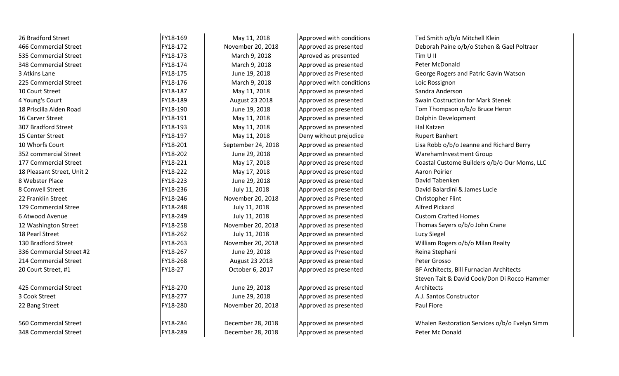| 26 Bradford Street         | FY18-169 | May 11, 2018       | Approved with conditions | Ted Smith o/b/o Mitchell Klein                |
|----------------------------|----------|--------------------|--------------------------|-----------------------------------------------|
| 466 Commercial Street      | FY18-172 | November 20, 2018  | Approved as presented    | Deborah Paine o/b/o Stehen & Gael Poltraer    |
| 535 Commercial Street      | FY18-173 | March 9, 2018      | Aproved as presented     | Tim U II                                      |
| 348 Commercial Street      | FY18-174 | March 9, 2018      | Approved as presented    | Peter McDonald                                |
| 3 Atkins Lane              | FY18-175 | June 19, 2018      | Approved as Presented    | George Rogers and Patric Gavin Watson         |
| 225 Commercial Street      | FY18-176 | March 9, 2018      | Approved with conditions | Loic Rossignon                                |
| 10 Court Street            | FY18-187 | May 11, 2018       | Approved as presented    | Sandra Anderson                               |
| 4 Young's Court            | FY18-189 | August 23 2018     | Approved as presented    | <b>Swain Costruction for Mark Stenek</b>      |
| 18 Priscilla Alden Road    | FY18-190 | June 19, 2018      | Approved as presented    | Tom Thompson o/b/o Bruce Heron                |
| 16 Carver Street           | FY18-191 | May 11, 2018       | Approved as presented    | Dolphin Development                           |
| 307 Bradford Street        | FY18-193 | May 11, 2018       | Approved as presented    | Hal Katzen                                    |
| 15 Center Street           | FY18-197 | May 11, 2018       | Deny without prejudice   | <b>Rupert Banhert</b>                         |
| 10 Whorfs Court            | FY18-201 | September 24, 2018 | Approved as presented    | Lisa Robb o/b/o Jeanne and Richard Berry      |
| 352 commercial Street      | FY18-202 | June 29, 2018      | Approved as presented    | WarehamInvestment Group                       |
| 177 Commercial Street      | FY18-221 | May 17, 2018       | Approved as presented    | Coastal Custome Builders o/b/o Our Moms, LLC  |
| 18 Pleasant Street, Unit 2 | FY18-222 | May 17, 2018       | Approved as presented    | Aaron Poirier                                 |
| 8 Webster Place            | FY18-223 | June 29, 2018      | Approved as presented    | David Tabenken                                |
| 8 Conwell Street           | FY18-236 | July 11, 2018      | Approved as presented    | David Balardini & James Lucie                 |
| 22 Franklin Street         | FY18-246 | November 20, 2018  | Approved as Presented    | Christopher Flint                             |
| 129 Commercial Stree       | FY18-248 | July 11, 2018      | Approved as presented    | <b>Alfred Pickard</b>                         |
| 6 Atwood Avenue            | FY18-249 | July 11, 2018      | Approved as presented    | <b>Custom Crafted Homes</b>                   |
| 12 Washington Street       | FY18-258 | November 20, 2018  | Approved as presented    | Thomas Sayers o/b/o John Crane                |
| 18 Pearl Street            | FY18-262 | July 11, 2018      | Approved as presented    | Lucy Siegel                                   |
| 130 Bradford Street        | FY18-263 | November 20, 2018  | Approved as presented    | William Rogers o/b/o Milan Realty             |
| 336 Commercial Street #2   | FY18-267 | June 29, 2018      | Approved as Presented    | Reina Stephani                                |
| 214 Commercial Street      | FY18-268 | August 23 2018     | Approved as presented    | Peter Grosso                                  |
| 20 Court Street, #1        | FY18-27  | October 6, 2017    | Approved as presented    | BF Architects, Bill Furnacian Architects      |
|                            |          |                    |                          | Steven Tait & David Cook/Don Di Rocco Hammer  |
| 425 Commercial Street      | FY18-270 | June 29, 2018      | Approved as presented    | Architects                                    |
| 3 Cook Street              | FY18-277 | June 29, 2018      | Approved as presented    | A.J. Santos Constructor                       |
| 22 Bang Street             | FY18-280 | November 20, 2018  | Approved as presented    | Paul Fiore                                    |
| 560 Commercial Street      | FY18-284 | December 28, 2018  | Approved as presented    | Whalen Restoration Services o/b/o Evelyn Simm |
| 348 Commercial Street      | FY18-289 | December 28, 2018  | Approved as presented    | Peter Mc Donald                               |